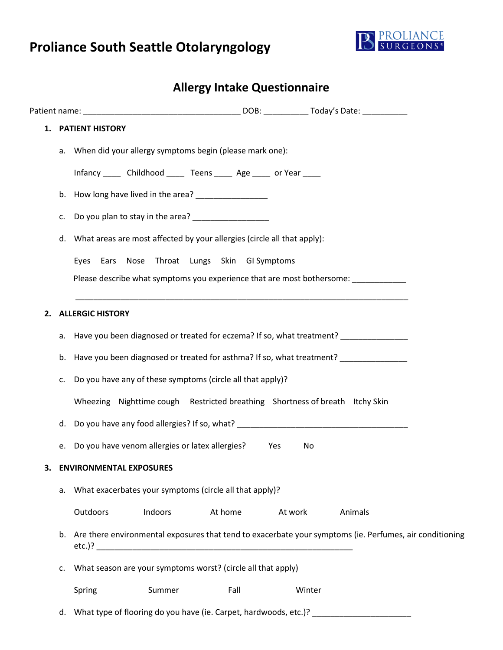## **Proliance South Seattle Otolaryngology**



| 1. | <b>PATIENT HISTORY</b>  |                                                                            |                                                                    |         |      |           |                                                                                                            |  |  |
|----|-------------------------|----------------------------------------------------------------------------|--------------------------------------------------------------------|---------|------|-----------|------------------------------------------------------------------------------------------------------------|--|--|
|    |                         |                                                                            | a. When did your allergy symptoms begin (please mark one):         |         |      |           |                                                                                                            |  |  |
|    |                         |                                                                            | Infancy ______ Childhood _____ Teens _____ Age _____ or Year _____ |         |      |           |                                                                                                            |  |  |
|    |                         |                                                                            | b. How long have lived in the area? __________________             |         |      |           |                                                                                                            |  |  |
|    |                         |                                                                            | c. Do you plan to stay in the area? ____________________           |         |      |           |                                                                                                            |  |  |
|    |                         | d. What areas are most affected by your allergies (circle all that apply): |                                                                    |         |      |           |                                                                                                            |  |  |
|    |                         |                                                                            | Eyes Ears Nose Throat Lungs Skin GISymptoms                        |         |      |           |                                                                                                            |  |  |
|    |                         |                                                                            |                                                                    |         |      |           | Please describe what symptoms you experience that are most bothersome: __________                          |  |  |
|    |                         |                                                                            |                                                                    |         |      |           |                                                                                                            |  |  |
| 2. | <b>ALLERGIC HISTORY</b> |                                                                            |                                                                    |         |      |           |                                                                                                            |  |  |
|    |                         |                                                                            |                                                                    |         |      |           | a. Have you been diagnosed or treated for eczema? If so, what treatment? ______________                    |  |  |
|    |                         |                                                                            |                                                                    |         |      |           | b. Have you been diagnosed or treated for asthma? If so, what treatment? _____________                     |  |  |
|    | c.                      |                                                                            | Do you have any of these symptoms (circle all that apply)?         |         |      |           |                                                                                                            |  |  |
|    |                         |                                                                            |                                                                    |         |      |           | Wheezing Nighttime cough Restricted breathing Shortness of breath Itchy Skin                               |  |  |
|    |                         |                                                                            | d. Do you have any food allergies? If so, what?                    |         |      |           |                                                                                                            |  |  |
|    |                         |                                                                            | e. Do you have venom allergies or latex allergies?                 |         |      | No<br>Yes |                                                                                                            |  |  |
| 3. |                         | <b>ENVIRONMENTAL EXPOSURES</b>                                             |                                                                    |         |      |           |                                                                                                            |  |  |
|    |                         |                                                                            | a. What exacerbates your symptoms (circle all that apply)?         |         |      |           |                                                                                                            |  |  |
|    |                         | Outdoors                                                                   | Indoors                                                            | At home |      | At work   | Animals                                                                                                    |  |  |
|    |                         |                                                                            |                                                                    |         |      |           | b. Are there environmental exposures that tend to exacerbate your symptoms (ie. Perfumes, air conditioning |  |  |
|    | c.                      | What season are your symptoms worst? (circle all that apply)               |                                                                    |         |      |           |                                                                                                            |  |  |
|    |                         | Spring                                                                     | Summer                                                             |         | Fall | Winter    |                                                                                                            |  |  |
|    | d.                      |                                                                            |                                                                    |         |      |           | What type of flooring do you have (ie. Carpet, hardwoods, etc.)?                                           |  |  |